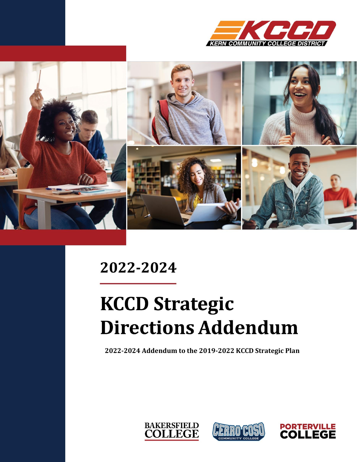



# 2022-2024

# **KCCD Strategic Directions Addendum**

**2022-2024 Addendum to the 2019-2022 KCCD Strategic Plan**





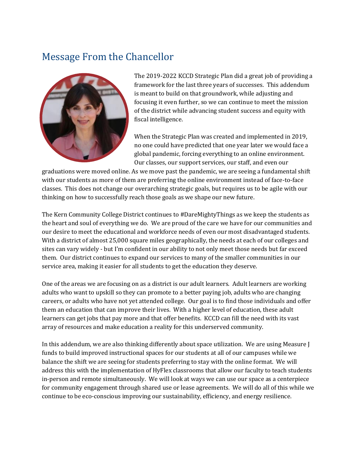# Message From the Chancellor



The 2019-2022 KCCD Strategic Plan did a great job of providing a framework for the last three years of successes. This addendum is meant to build on that groundwork, while adjusting and focusing it even further, so we can continue to meet the mission of the district while advancing student success and equity with fiscal intelligence.

When the Strategic Plan was created and implemented in 2019, no one could have predicted that one year later we would face a global pandemic, forcing everything to an online environment. Our classes, our support services, our staff, and even our

graduations were moved online. As we move past the pandemic, we are seeing a fundamental shift with our students as more of them are preferring the online environment instead of face-to-face classes. This does not change our overarching strategic goals, but requires us to be agile with our thinking on how to successfully reach those goals as we shape our new future.

The Kern Community College District continues to #DareMightyThings as we keep the students as the heart and soul of everything we do. We are proud of the care we have for our communities and our desire to meet the educational and workforce needs of even our most disadvantaged students. With a district of almost 25,000 square miles geographically, the needs at each of our colleges and sites can vary widely - but I'm confident in our ability to not only meet those needs but far exceed them. Our district continues to expand our services to many of the smaller communities in our service area, making it easier for all students to get the education they deserve.

One of the areas we are focusing on as a district is our adult learners. Adult learners are working adults who want to upskill so they can promote to a better paying job, adults who are changing careers, or adults who have not yet attended college. Our goal is to find those individuals and offer them an education that can improve their lives. With a higher level of education, these adult learners can get jobs that pay more and that offer benefits. KCCD can fill the need with its vast array of resources and make education a reality for this underserved community.

In this addendum, we are also thinking differently about space utilization. We are using Measure J funds to build improved instructional spaces for our students at all of our campuses while we balance the shift we are seeing for students preferring to stay with the online format. We will address this with the implementation of HyFlex classrooms that allow our faculty to teach students in-person and remote simultaneously. We will look at ways we can use our space as a centerpiece for community engagement through shared use or lease agreements. We will do all of this while we continue to be eco-conscious improving our sustainability, efficiency, and energy resilience.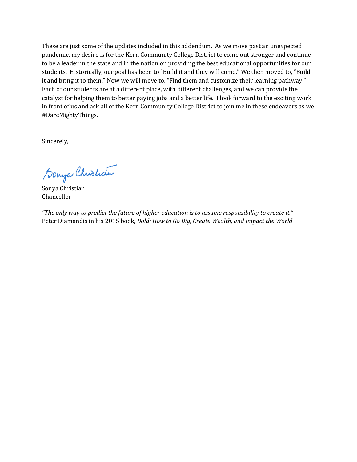These are just some of the updates included in this addendum. As we move past an unexpected pandemic, my desire is for the Kern Community College District to come out stronger and continue to be a leader in the state and in the nation on providing the best educational opportunities for our students. Historically, our goal has been to "Build it and they will come." We then moved to, "Build it and bring it to them." Now we will move to, "Find them and customize their learning pathway." Each of our students are at a different place, with different challenges, and we can provide the catalyst for helping them to better paying jobs and a better life. I look forward to the exciting work in front of us and ask all of the Kern Community College District to join me in these endeavors as we #DareMightyThings.

Sincerely,

Sonya Christian

Sonya Christian Chancellor

*"The only way to predict the future of higher education is to assume responsibility to create it."* Peter Diamandis in his 2015 book, *Bold: How to Go Big, Create Wealth, and Impact the World*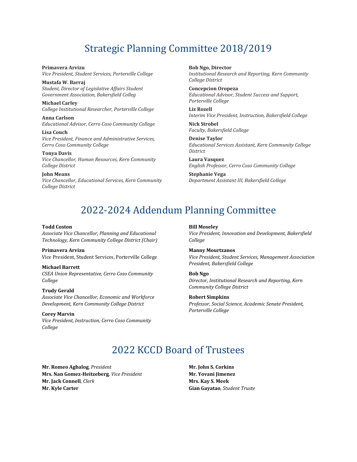# Strategic Planning Committee 2018/2019

**Primavera Arvizu** *Vice President, Student Services, Porterville College*

**Mustafa W. Barraj** *Student, Director of Legislative Affairs Student Government Association, Bakersfield Colleg* 

**Michael Carley** *College Institutional Researcher, Porterville College* 

**Anna Carlson** *Educational Advisor, Cerro Coso Community College* 

**Lisa Couch** *Vice President, Finance and Administrative Services, Cerro Coso Community College* 

**Tonya Davis** *Vice Chancellor, Human Resources, Kern Community College District* 

**John Means** *Vice Chancellor, Educational Services, Kern Community College District*

**Bob Ngo, Director** *Institutional Research and Reporting, Kern Community College District* 

**Concepcion Oropeza** *Educational Advisor, Student Success and Support, Porterville College* 

**Liz Rozell** *Interim Vice President, Instruction, Bakersfield College* 

**Nick Strobel** *Faculty, Bakersfield College* 

**Denise Taylor** *Educational Services Assistant, Kern Community College District* 

**Laura Vasquez** *English Professor, Cerro Coso Community College* 

**Stephanie Vega** *Department Assistant III, Bakersfield College*

# 2022-2024 Addendum Planning Committee

#### **Todd Coston**

*Associate Vice Chancellor, Planning and Educational Technology, Kern Community College District (Chair)*

**Primavera Arvizu** Vice President, Student Services, Porterville College

#### **Michael Barrett** *CSEA Union Representative, Cerro Coso Community College*

#### **Trudy Gerald**

*Associate Vice Chancellor, Economic and Workforce Development, Kern Community College District*

**Corey Marvin** *Vice President, Instruction, Cerro Coso Community College*

#### **Bill Moseley**

*Vice President, Innovation and Development, Bakersfield College*

# **Manny Mourtzanos**

*Vice President, Student Services, Management Association President, Bakersfield College*

#### **Bob Ngo**

*Director, Institutional Research and Reporting, Kern Community College District*

#### **Robert Simpkins**

*Professor, Social Science, Academic Senate President, Porterville College*

# 2022 KCCD Board of Trustees

**Mr. Romeo Agbalog**, *President* **Mrs. Nan Gomez-Heitzeberg**, *Vice President* **Mr. Jack Connell**, *Clerk* **Mr. Kyle Carter**

**Mr. John S. Corkins Mr. Yovani Jimenez Mrs. Kay S. Meek Gian Gayatao**, *Student Truste*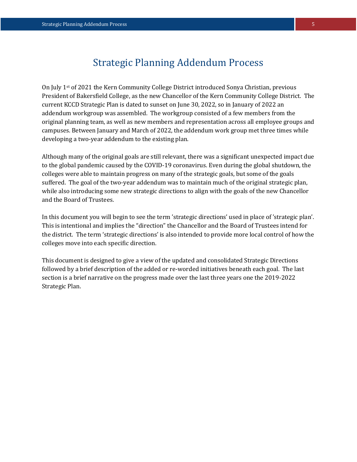On July 1st of 2021 the Kern Community College District introduced Sonya Christian, previous President of Bakersfield College, as the new Chancellor of the Kern Community College District. The current KCCD Strategic Plan is dated to sunset on June 30, 2022, so in January of 2022 an addendum workgroup was assembled. The workgroup consisted of a few members from the original planning team, as well as new members and representation across all employee groups and campuses. Between January and March of 2022, the addendum work group met three times while developing a two-year addendum to the existing plan.

Although many of the original goals are still relevant, there was a significant unexpected impact due to the global pandemic caused by the COVID-19 coronavirus. Even during the global shutdown, the colleges were able to maintain progress on many of the strategic goals, but some of the goals suffered. The goal of the two-year addendum was to maintain much of the original strategic plan, while also introducing some new strategic directions to align with the goals of the new Chancellor and the Board of Trustees.

In this document you will begin to see the term 'strategic directions' used in place of 'strategic plan'. This is intentional and implies the "direction" the Chancellor and the Board of Trustees intend for the district. The term 'strategic directions' is also intended to provide more local control of how the colleges move into each specific direction.

This document is designed to give a view of the updated and consolidated Strategic Directions followed by a brief description of the added or re-worded initiatives beneath each goal. The last section is a brief narrative on the progress made over the last three years one the 2019-2022 Strategic Plan.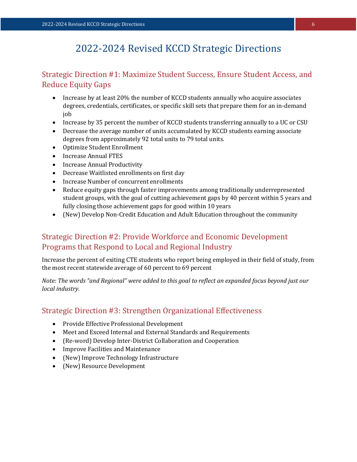# 2022-2024 Revised KCCD Strategic Directions

# Strategic Direction #1: Maximize Student Success, Ensure Student Access, and Reduce Equity Gaps

- Increase by at least 20% the number of KCCD students annually who acquire associates degrees, credentials, certificates, or specific skill sets that prepare them for an in-demand job
- Increase by 35 percent the number of KCCD students transferring annually to a UC or CSU
- Decrease the average number of units accumulated by KCCD students earning associate degrees from approximately 92 total units to 79 total units.
- Optimize Student Enrollment
- Increase Annual FTES
- Increase Annual Productivity
- Decrease Waitlisted enrollments on first day
- Increase Number of concurrent enrollments
- Reduce equity gaps through faster improvements among traditionally underrepresented student groups, with the goal of cutting achievement gaps by 40 percent within 5 years and fully closing those achievement gaps for good within 10 years
- (New) Develop Non-Credit Education and Adult Education throughout the community

# Strategic Direction #2: Provide Workforce and Economic Development Programs that Respond to Local and Regional Industry

Increase the percent of exiting CTE students who report being employed in their field of study, from the most recent statewide average of 60 percent to 69 percent

*Note: The words "and Regional" were added to this goal to reflect an expanded focus beyond just our local industry.*

# Strategic Direction #3: Strengthen Organizational Effectiveness

- Provide Effective Professional Development
- Meet and Exceed Internal and External Standards and Requirements
- (Re-word) Develop Inter-District Collaboration and Cooperation
- Improve Facilities and Maintenance
- (New) Improve Technology Infrastructure
- (New) Resource Development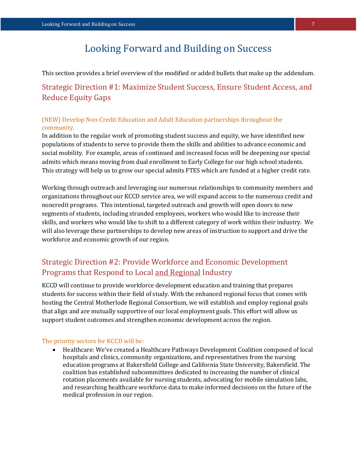# Looking Forward and Building on Success

This section provides a brief overview of the modified or added bullets that make up the addendum.

# Strategic Direction #1: Maximize Student Success, Ensure Student Access, and Reduce Equity Gaps

# (NEW) Develop Non-Credit Education and Adult Education partnerships throughout the community.

In addition to the regular work of promoting student success and equity, we have identified new populations of students to serve to provide them the skills and abilities to advance economic and social mobility. For example, areas of continued and increased focus will be deepening our special admits which means moving from dual enrollment to Early College for our high school students. This strategy will help us to grow our special admits FTES which are funded at a higher credit rate.

Working through outreach and leveraging our numerous relationships to community members and organizations throughout our KCCD service area, we will expand access to the numerous credit and noncredit programs. This intentional, targeted outreach and growth will open doors to new segments of students, including stranded employees, workers who would like to increase their skills, and workers who would like to shift to a different category of work within their industry. We will also leverage these partnerships to develop new areas of instruction to support and drive the workforce and economic growth of our region.

# Strategic Direction #2: Provide Workforce and Economic Development Programs that Respond to Local and Regional Industry

KCCD will continue to provide workforce development education and training that prepares students for success within their field of study. With the enhanced regional focus that comes with hosting the Central Motherlode Regional Consortium, we will establish and employ regional goals that align and are mutually supportive of our local employment goals. This effort will allow us support student outcomes and strengthen economic development across the region.

# The priority sectors for KCCD will be:

 Healthcare: We've created a Healthcare Pathways Development Coalition composed of local hospitals and clinics, community organizations, and representatives from the nursing education programs at Bakersfield College and California State University, Bakersfield. The coalition has established subcommittees dedicated to increasing the number of clinical rotation placements available for nursing students, advocating for mobile simulation labs, and researching healthcare workforce data to make informed decisions on the future of the medical profession in our region.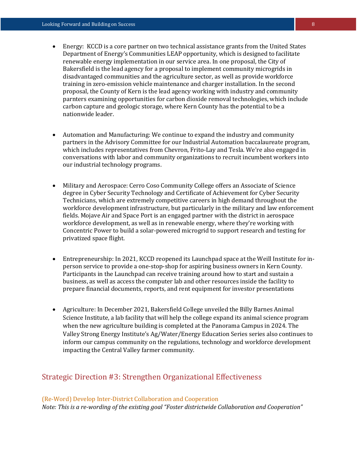- Energy: KCCD is a core partner on two technical assistance grants from the United States Department of Energy's Communities LEAP opportunity, which is designed to facilitate renewable energy implementation in our service area. In one proposal, the City of Bakersfield is the lead agency for a proposal to implement community microgrids in disadvantaged communities and the agriculture sector, as well as provide workforce training in zero-emission vehicle maintenance and charger installation. In the second proposal, the County of Kern is the lead agency working with industry and community parnters examining opportunities for carbon dioxide removal technologies, which include carbon capture and geologic storage, where Kern County has the potential to be a nationwide leader.
- Automation and Manufacturing: We continue to expand the industry and community partners in the Advisory Committee for our Industrial Automation baccalaureate program, which includes representatives from Chevron, Frito-Lay and Tesla. We're also engaged in conversations with labor and community organizations to recruit incumbent workers into our industrial technology programs.
- Military and Aerospace: Cerro Coso Community College offers an Associate of Science degree in Cyber Security Technology and Certificate of Achievement for Cyber Security Technicians, which are extremely competitive careers in high demand throughout the workforce development infrastructure, but particularly in the military and law enforcement fields. Mojave Air and Space Port is an engaged partner with the district in aerospace workforce development, as well as in renewable energy, where they're working with Concentric Power to build a solar-powered microgrid to support research and testing for privatized space flight.
- Entrepreneurship: In 2021, KCCD reopened its Launchpad space at the Weill Institute for inperson service to provide a one-stop-shop for aspiring business owners in Kern County. Participants in the Launchpad can receive training around how to start and sustain a business, as well as access the computer lab and other resources inside the facility to prepare financial documents, reports, and rent equipment for investor presentations
- Agriculture: In December 2021, Bakersfield College unveiled the Billy Barnes Animal Science Institute, a lab facility that will help the college expand its animal science program when the new agriculture building is completed at the Panorama Campus in 2024. The Valley Strong Energy Institute's Ag/Water/Energy Education Series series also continues to inform our campus community on the regulations, technology and workforce development impacting the Central Valley farmer community.

# Strategic Direction #3: Strengthen Organizational Effectiveness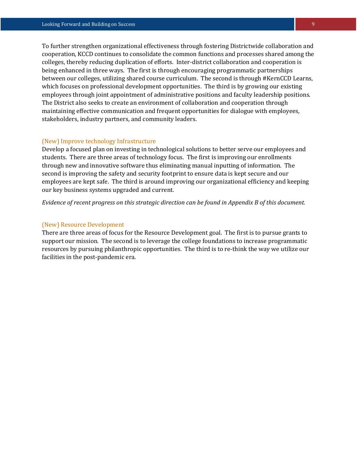To further strengthen organizational effectiveness through fostering Districtwide collaboration and cooperation, KCCD continues to consolidate the common functions and processes shared among the colleges, thereby reducing duplication of efforts. Inter-district collaboration and cooperation is being enhanced in three ways. The first is through encouraging programmatic partnerships between our colleges, utilizing shared course curriculum. The second is through #KernCCD Learns, which focuses on professional development opportunities. The third is by growing our existing employees through joint appointment of administrative positions and faculty leadership positions. The District also seeks to create an environment of collaboration and cooperation through maintaining effective communication and frequent opportunities for dialogue with employees, stakeholders, industry partners, and community leaders.

# (New) Improve technology Infrastructure

Develop a focused plan on investing in technological solutions to better serve our employees and students. There are three areas of technology focus. The first is improving our enrollments through new and innovative software thus eliminating manual inputting of information. The second is improving the safety and security footprint to ensure data is kept secure and our employees are kept safe. The third is around improving our organizational efficiency and keeping our key business systems upgraded and current.

*Evidence of recent progress on this strategic direction can be found in Appendix B of this document.*

### (New) Resource Development

There are three areas of focus for the Resource Development goal. The first is to pursue grants to support our mission. The second is to leverage the college foundations to increase programmatic resources by pursuing philanthropic opportunities. The third is to re-think the way we utilize our facilities in the post-pandemic era.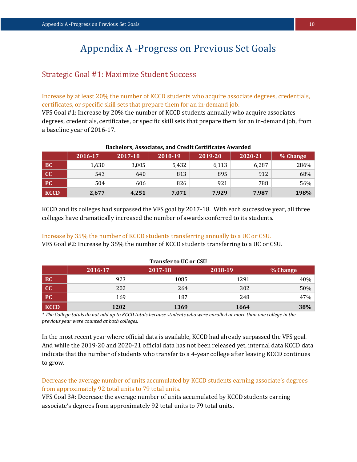# Appendix A -Progress on Previous Set Goals

# Strategic Goal #1: Maximize Student Success

Increase by at least 20% the number of KCCD students who acquire associate degrees, credentials, certificates, or specific skill sets that prepare them for an in-demand job.

VFS Goal #1: Increase by 20% the number of KCCD students annually who acquire associates degrees, credentials, certificates, or specific skill sets that prepare them for an in-demand job, from a baseline year of 2016-17.

| bacheloroj moodelateoj unu el cuit eel tintuto hindi ucu |         |         |         |         |         |          |  |
|----------------------------------------------------------|---------|---------|---------|---------|---------|----------|--|
|                                                          | 2016-17 | 2017-18 | 2018-19 | 2019-20 | 2020-21 | % Change |  |
| <b>BC</b>                                                | 1,630   | 3,005   | 5,432   | 6,113   | 6,287   | 286%     |  |
| $\overline{CC}$                                          | 543     | 640     | 813     | 895     | 912     | 68%      |  |
| PC/                                                      | 504     | 606     | 826     | 921     | 788     | 56%      |  |
| KCCD                                                     | 2,677   | 4,251   | 7,071   | 7,929   | 7,987   | 198%     |  |

### **Bachelors, Associates, and Credit Certificates Awarded**

KCCD and its colleges had surpassed the VFS goal by 2017-18. With each successive year, all three colleges have dramatically increased the number of awards conferred to its students.

Increase by 35% the number of KCCD students transferring annually to a UC or CSU.

VFS Goal #2: Increase by 35% the number of KCCD students transferring to a UC or CSU.

|             | 2016-17 | 2017-18 | 2018-19 | % Change |
|-------------|---------|---------|---------|----------|
| <b>BC</b>   | 923     | 1085    | 1291    | 40%      |
| cc          | 202     | 264     | 302     | 50%      |
| PC          | 169     | 187     | 248     | 47%      |
| <b>KCCD</b> | 1202    | 1369    | 1664    | 38%      |

#### **Transfer to UC or CSU**

*\* The College totals do not add up to KCCD totals because students who were enrolled at more than one college in the previous year were counted at both colleges.*

In the most recent year where official data is available, KCCD had already surpassed the VFS goal. And while the 2019-20 and 2020-21 official data has not been released yet, internal data KCCD data indicate that the number of students who transfer to a 4-year college after leaving KCCD continues to grow.

Decrease the average number of units accumulated by KCCD students earning associate's degrees from approximately 92 total units to 79 total units.

VFS Goal 3#: Decrease the average number of units accumulated by KCCD students earning associate's degrees from approximately 92 total units to 79 total units.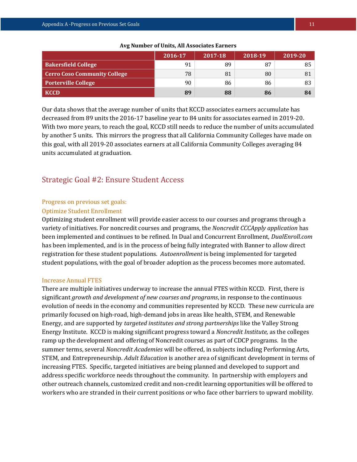|                                     | 2016-17 | 2017-18 | 2018-19 | 2019-20         |
|-------------------------------------|---------|---------|---------|-----------------|
| <b>Bakersfield College</b>          | 91      | 89      | 87      | 85 <sup>1</sup> |
| <b>Cerro Coso Community College</b> | 78      | 81      | 80      | 81              |
| <b>Porterville College</b>          | 90      | 86      | 86      | 83              |
| <b>KCCD</b>                         | 89      | 88      | 86      | 84              |

#### **Avg Number of Units, All Associates Earners**

Our data shows that the average number of units that KCCD associates earners accumulate has decreased from 89 units the 2016-17 baseline year to 84 units for associates earned in 2019-20. With two more years, to reach the goal, KCCD still needs to reduce the number of units accumulated by another 5 units. This mirrors the progress that all California Community Colleges have made on this goal, with all 2019-20 associates earners at all California Community Colleges averaging 84 units accumulated at graduation.

# Strategic Goal #2: Ensure Student Access

### Progress on previous set goals:

# Optimize Student Enrollment

Optimizing student enrollment will provide easier access to our courses and programs through a variety of initiatives. For noncredit courses and programs, the *Noncredit CCCApply application* has been implemented and continues to be refined. In Dual and Concurrent Enrollment, *DualEnroll.com* has been implemented, and is in the process of being fully integrated with Banner to allow direct registration for these student populations. *Autoenrollment* is being implemented for targeted student populations, with the goal of broader adoption as the process becomes more automated.

#### Increase Annual FTES

There are multiple initiatives underway to increase the annual FTES within KCCD. First, there is significant *growth and development of new courses and programs*, in response to the continuous evolution of needs in the economy and communities represented by KCCD. These new curricula are primarily focused on high-road, high-demand jobs in areas like health, STEM, and Renewable Energy, and are supported by *targeted institutes and strong partnerships* like the Valley Strong Energy Institute. KCCD is making significant progress toward a *Noncredit Institute,* as the colleges ramp up the development and offering of Noncredit courses as part of CDCP programs. In the summer terms, several *Noncredit Academies* will be offered, in subjects including Performing Arts, STEM, and Entrepreneurship. *Adult Education* is another area of significant development in terms of increasing FTES. Specific, targeted initiatives are being planned and developed to support and address specific workforce needs throughout the community. In partnership with employers and other outreach channels, customized credit and non-credit learning opportunities will be offered to workers who are stranded in their current positions or who face other barriers to upward mobility.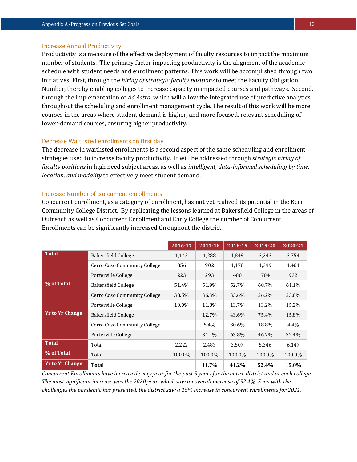### Increase Annual Productivity

Productivity is a measure of the effective deployment of faculty resources to impact the maximum number of students. The primary factor impacting productivity is the alignment of the academic schedule with student needs and enrollment patterns. This work will be accomplished through two initiatives: First, through the *hiring of strategic faculty positions* to meet the Faculty Obligation Number, thereby enabling colleges to increase capacity in impacted courses and pathways. Second, through the implementation of *Ad Astra*, which will allow the integrated use of predictive analytics throughout the scheduling and enrollment management cycle. The result of this work will be more courses in the areas where student demand is higher, and more focused, relevant scheduling of lower-demand courses, ensuring higher productivity.

### Decrease Waitlisted enrollments on first day

The decrease in waitlisted enrollments is a second aspect of the same scheduling and enrollment strategies used to increase faculty productivity. It will be addressed through *strategic hiring of faculty positions* in high need subject areas, as well as *intelligent, data-informed scheduling by time, location, and modality* to effectively meet student demand.

#### Increase Number of concurrent enrollments

Concurrent enrollment, as a category of enrollment, has not yet realized its potential in the Kern Community College District. By replicating the lessons learned at Bakersfield College in the areas of Outreach as well as Concurrent Enrollment and Early College the number of Concurrent Enrollments can be significantly increased throughout the district.

|                        |                              | 2016-17 | 2017-18 | 2018-19 | 2019-20 | 2020-21 |
|------------------------|------------------------------|---------|---------|---------|---------|---------|
| <b>Total</b>           | Bakersfield College          | 1,143   | 1,288   | 1,849   | 3,243   | 3,754   |
|                        | Cerro Coso Community College | 856     | 902     | 1,178   | 1,399   | 1,461   |
|                        | Porterville College          | 223     | 293     | 480     | 704     | 932     |
| % of Total             | Bakersfield College          | 51.4%   | 51.9%   | 52.7%   | 60.7%   | 61.1%   |
|                        | Cerro Coso Community College | 38.5%   | 36.3%   | 33.6%   | 26.2%   | 23.8%   |
|                        | Porterville College          | 10.0%   | 11.8%   | 13.7%   | 13.2%   | 15.2%   |
| <b>Yr to Yr Change</b> | <b>Bakersfield College</b>   |         | 12.7%   | 43.6%   | 75.4%   | 15.8%   |
|                        | Cerro Coso Community College |         | 5.4%    | 30.6%   | 18.8%   | 4.4%    |
|                        | Porterville College          |         | 31.4%   | 63.8%   | 46.7%   | 32.4%   |
| <b>Total</b>           | Total                        | 2,222   | 2,483   | 3,507   | 5,346   | 6,147   |
| % of Total             | Total                        | 100.0%  | 100.0%  | 100.0%  | 100.0%  | 100.0%  |
| <b>Yr to Yr Change</b> | <b>Total</b>                 |         | 11.7%   | 41.2%   | 52.4%   | 15.0%   |

*Concurrent Enrollments have increased every year for the past 5 years for the entire district and at each college. The most significant increase was the 2020 year, which saw an overall increase of 52.4%. Even with the challenges the pandemic has presented, the district saw a 15% increase in concurrent enrollments for 2021.*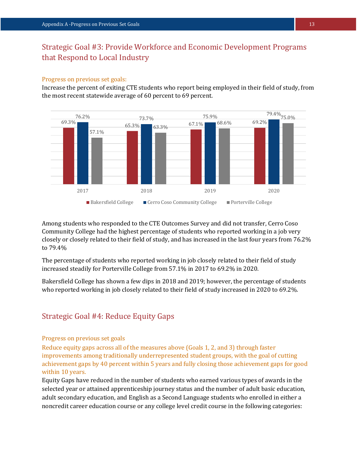# Strategic Goal #3: Provide Workforce and Economic Development Programs that Respond to Local Industry

#### Progress on previous set goals:

Increase the percent of exiting CTE students who report being employed in their field of study, from the most recent statewide average of 60 percent to 69 percent.



Among students who responded to the CTE Outcomes Survey and did not transfer, Cerro Coso Community College had the highest percentage of students who reported working in a job very closely or closely related to their field of study, and has increased in the last four years from 76.2% to 79.4%

The percentage of students who reported working in job closely related to their field of study increased steadily for Porterville College from 57.1% in 2017 to 69.2% in 2020.

Bakersfield College has shown a few dips in 2018 and 2019; however, the percentage of students who reported working in job closely related to their field of study increased in 2020 to 69.2%.

# Strategic Goal #4: Reduce Equity Gaps

# Progress on previous set goals

Reduce equity gaps across all of the measures above (Goals 1, 2, and 3) through faster improvements among traditionally underrepresented student groups, with the goal of cutting achievement gaps by 40 percent within 5 years and fully closing those achievement gaps for good within 10 years.

Equity Gaps have reduced in the number of students who earned various types of awards in the selected year or attained apprenticeship journey status and the number of adult basic education, adult secondary education, and English as a Second Language students who enrolled in either a noncredit career education course or any college level credit course in the following categories: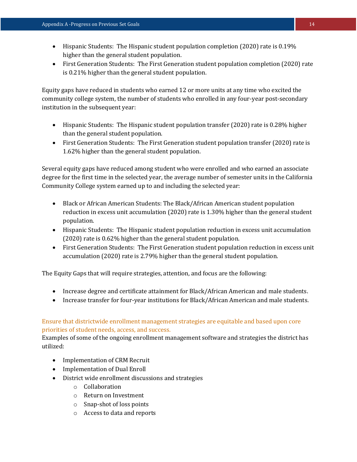- Hispanic Students: The Hispanic student population completion (2020) rate is 0.19% higher than the general student population.
- First Generation Students: The First Generation student population completion (2020) rate is 0.21% higher than the general student population.

Equity gaps have reduced in students who earned 12 or more units at any time who excited the community college system, the number of students who enrolled in any four-year post-secondary institution in the subsequent year:

- Hispanic Students: The Hispanic student population transfer (2020) rate is 0.28% higher than the general student population.
- First Generation Students: The First Generation student population transfer (2020) rate is 1.62% higher than the general student population.

Several equity gaps have reduced among student who were enrolled and who earned an associate degree for the first time in the selected year, the average number of semester units in the California Community College system earned up to and including the selected year:

- Black or African American Students: The Black/African American student population reduction in excess unit accumulation (2020) rate is 1.30% higher than the general student population.
- Hispanic Students: The Hispanic student population reduction in excess unit accumulation (2020) rate is 0.62% higher than the general student population.
- First Generation Students: The First Generation student population reduction in excess unit accumulation (2020) rate is 2.79% higher than the general student population.

The Equity Gaps that will require strategies, attention, and focus are the following:

- Increase degree and certificate attainment for Black/African American and male students.
- Increase transfer for four-year institutions for Black/African American and male students.

# Ensure that districtwide enrollment management strategies are equitable and based upon core priorities of student needs, access, and success.

Examples of some of the ongoing enrollment management software and strategies the district has utilized:

- Implementation of CRM Recruit
- Implementation of Dual Enroll
- District wide enrollment discussions and strategies
	- o Collaboration
	- o Return on Investment
	- o Snap-shot of loss points
	- o Access to data and reports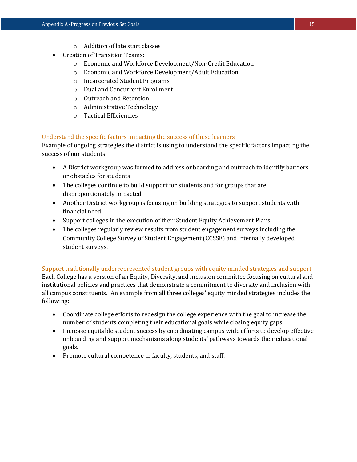- o Addition of late start classes
- Creation of Transition Teams:
	- o Economic and Workforce Development/Non-Credit Education
	- o Economic and Workforce Development/Adult Education
	- o Incarcerated Student Programs
	- o Dual and Concurrent Enrollment
	- o Outreach and Retention
	- o Administrative Technology
	- o Tactical Efficiencies

# Understand the specific factors impacting the success of these learners

Example of ongoing strategies the district is using to understand the specific factors impacting the success of our students:

- A District workgroup was formed to address onboarding and outreach to identify barriers or obstacles for students
- The colleges continue to build support for students and for groups that are disproportionately impacted
- Another District workgroup is focusing on building strategies to support students with financial need
- Support colleges in the execution of their Student Equity Achievement Plans
- The colleges regularly review results from student engagement surveys including the Community College Survey of Student Engagement (CCSSE) and internally developed student surveys.

Support traditionally underrepresented student groups with equity minded strategies and support Each College has a version of an Equity, Diversity, and inclusion committee focusing on cultural and institutional policies and practices that demonstrate a commitment to diversity and inclusion with all campus constituents. An example from all three colleges' equity minded strategies includes the

- following: Coordinate college efforts to redesign the college experience with the goal to increase the number of students completing their educational goals while closing equity gaps.
	- Increase equitable student success by coordinating campus wide efforts to develop effective onboarding and support mechanisms along students' pathways towards their educational goals.
	- Promote cultural competence in faculty, students, and staff.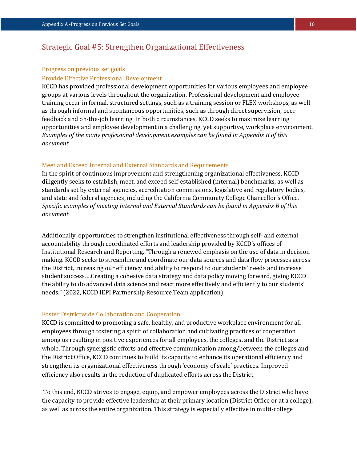# Strategic Goal #5: Strengthen Organizational Effectiveness

#### Progress on previous set goals

# Provide Effective Professional Development

KCCD has provided professional development opportunities for various employees and employee groups at various levels throughout the organization. Professional development and employee training occur in formal, structured settings, such as a training session or FLEX workshops, as well as through informal and spontaneous opportunities, such as through direct supervision, peer feedback and on-the-job learning. In both circumstances, KCCD seeks to maximize learning opportunities and employee development in a challenging, yet supportive, workplace environment. *Examples of the many professional development examples can be found in Appendix B of this document*.

### Meet and Exceed Internal and External Standards and Requirements

In the spirit of continuous improvement and strengthening organizational effectiveness, KCCD diligently seeks to establish, meet, and exceed self-established (internal) benchmarks, as well as standards set by external agencies, accreditation commissions, legislative and regulatory bodies, and state and federal agencies, including the California Community College Chancellor's Office. *Specific examples of meeting Internal and External Standards can be found in Appendix B of this document.*

Additionally, opportunities to strengthen institutional effectiveness through self- and external accountability through coordinated efforts and leadership provided by KCCD's offices of Institutional Research and Reporting. "Through a renewed emphasis on the use of data in decision making. KCCD seeks to streamline and coordinate our data sources and data flow processes across the District, increasing our efficiency and ability to respond to our students' needs and increase student success….Creating a cohesive data strategy and data policy moving forward, giving KCCD the ability to do advanced data science and react more effectively and efficiently to our students' needs." (2022, KCCD IEPI Partnership Resource Team application)

# Foster Districtwide Collaboration and Cooperation

KCCD is committed to promoting a safe, healthy, and productive workplace environment for all employees through fostering a spirit of collaboration and cultivating practices of cooperation among us resulting in positive experiences for all employees, the colleges, and the District as a whole. Through synergistic efforts and effective communication among/between the colleges and the District Office, KCCD continues to build its capacity to enhance its operational efficiency and strengthen its organizational effectiveness through 'economy of scale' practices. Improved efficiency also results in the reduction of duplicated efforts across the District.

To this end, KCCD strives to engage, equip, and empower employees across the District who have the capacity to provide effective leadership at their primary location (District Office or at a college), as well as across the entire organization. This strategy is especially effective in multi-college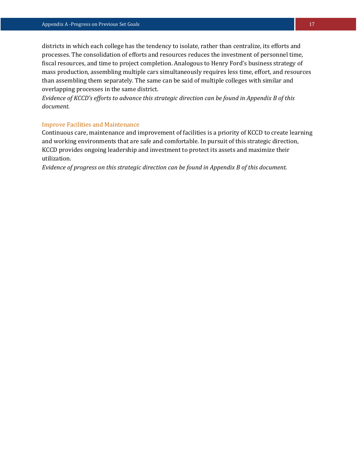districts in which each college has the tendency to isolate, rather than centralize, its efforts and processes. The consolidation of efforts and resources reduces the investment of personnel time, fiscal resources, and time to project completion. Analogous to Henry Ford's business strategy of mass production, assembling multiple cars simultaneously requires less time, effort, and resources than assembling them separately. The same can be said of multiple colleges with similar and overlapping processes in the same district.

*Evidence of KCCD's efforts to advance this strategic direction can be found in Appendix B of this document.*

### Improve Facilities and Maintenance

Continuous care, maintenance and improvement of facilities is a priority of KCCD to create learning and working environments that are safe and comfortable. In pursuit of this strategic direction, KCCD provides ongoing leadership and investment to protect its assets and maximize their utilization.

*Evidence of progress on this strategic direction can be found in Appendix B of this document.*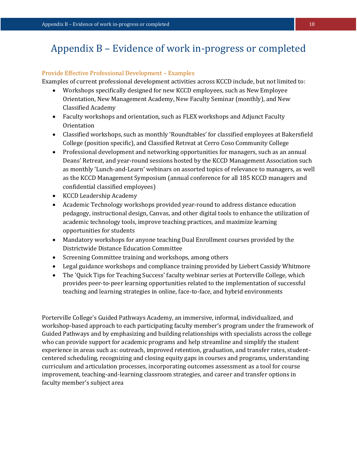# Appendix B – Evidence of work in-progress or completed

# Provide Effective Professional Development – Examples

Examples of current professional development activities across KCCD include, but not limited to:

- Workshops specifically designed for new KCCD employees, such as New Employee Orientation, New Management Academy, New Faculty Seminar (monthly), and New Classified Academy
- Faculty workshops and orientation, such as FLEX workshops and Adjunct Faculty **Orientation**
- Classified workshops, such as monthly 'Roundtables' for classified employees at Bakersfield College (position specific), and Classified Retreat at Cerro Coso Community College
- Professional development and networking opportunities for managers, such as an annual Deans' Retreat, and year-round sessions hosted by the KCCD Management Association such as monthly 'Lunch-and-Learn' webinars on assorted topics of relevance to managers, as well as the KCCD Management Symposium (annual conference for all 185 KCCD managers and confidential classified employees)
- KCCD Leadership Academy
- Academic Technology workshops provided year-round to address distance education pedagogy, instructional design, Canvas, and other digital tools to enhance the utilization of academic technology tools, improve teaching practices, and maximize learning opportunities for students
- Mandatory workshops for anyone teaching Dual Enrollment courses provided by the Districtwide Distance Education Committee
- Screening Committee training and workshops, among others
- Legal guidance workshops and compliance training provided by Liebert Cassidy Whitmore
- The 'Quick Tips for Teaching Success' faculty webinar series at Porterville College, which provides peer-to-peer learning opportunities related to the implementation of successful teaching and learning strategies in online, face-to-face, and hybrid environments

Porterville College's Guided Pathways Academy, an immersive, informal, individualized, and workshop-based approach to each participating faculty member's program under the framework of Guided Pathways and by emphasizing and building relationships with specialists across the college who can provide support for academic programs and help streamline and simplify the student experience in areas such as: outreach, improved retention, graduation, and transfer rates, studentcentered scheduling, recognizing and closing equity gaps in courses and programs, understanding curriculum and articulation processes, incorporating outcomes assessment as a tool for course improvement, teaching-and-learning classroom strategies, and career and transfer options in faculty member's subject area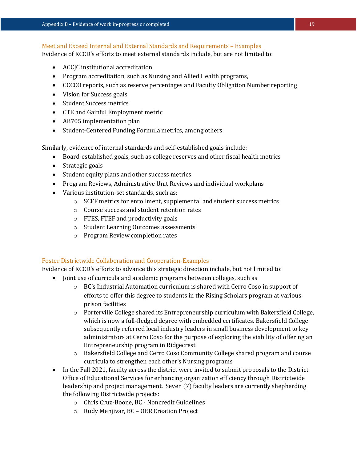# Meet and Exceed Internal and External Standards and Requirements – Examples

Evidence of KCCD's efforts to meet external standards include, but are not limited to:

- ACCJC institutional accreditation
- Program accreditation, such as Nursing and Allied Health programs,
- CCCCO reports, such as reserve percentages and Faculty Obligation Number reporting
- Vision for Success goals
- Student Success metrics
- CTE and Gainful Employment metric
- AB705 implementation plan
- Student-Centered Funding Formula metrics, among others

Similarly, evidence of internal standards and self-established goals include:

- Board-established goals, such as college reserves and other fiscal health metrics
- Strategic goals
- Student equity plans and other success metrics
- Program Reviews, Administrative Unit Reviews and individual workplans
- Various institution-set standards, such as:
	- o SCFF metrics for enrollment, supplemental and student success metrics
	- o Course success and student retention rates
	- o FTES, FTEF and productivity goals
	- o Student Learning Outcomes assessments
	- o Program Review completion rates

# Foster Districtwide Collaboration and Cooperation-Examples

Evidence of KCCD's efforts to advance this strategic direction include, but not limited to:

- Joint use of curricula and academic programs between colleges, such as
	- o BC's Industrial Automation curriculum is shared with Cerro Coso in support of efforts to offer this degree to students in the Rising Scholars program at various prison facilities
	- o Porterville College shared its Entrepreneurship curriculum with Bakersfield College, which is now a full-fledged degree with embedded certificates. Bakersfield College subsequently referred local industry leaders in small business development to key administrators at Cerro Coso for the purpose of exploring the viability of offering an Entrepreneurship program in Ridgecrest
	- o Bakersfield College and Cerro Coso Community College shared program and course curricula to strengthen each other's Nursing programs
- In the Fall 2021, faculty across the district were invited to submit proposals to the District Office of Educational Services for enhancing organization efficiency through Districtwide leadership and project management. Seven (7) faculty leaders are currently shepherding the following Districtwide projects:
	- o Chris Cruz-Boone, BC Noncredit Guidelines
	- o Rudy Menjivar, BC OER Creation Project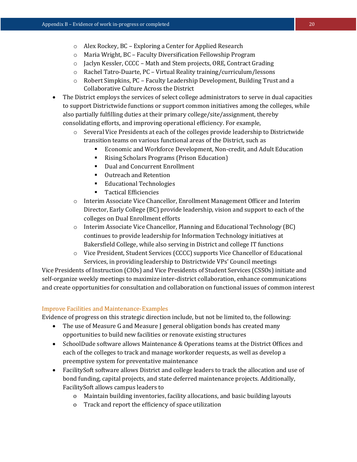- o Alex Rockey, BC Exploring a Center for Applied Research
- o Maria Wright, BC Faculty Diversification Fellowship Program
- o Jaclyn Kessler, CCCC Math and Stem projects, ORE, Contract Grading
- o Rachel Tatro-Duarte, PC Virtual Reality training/curriculum/lessons
- o Robert Simpkins, PC Faculty Leadership Development, Building Trust and a Collaborative Culture Across the District
- The District employs the services of select college administrators to serve in dual capacities to support Districtwide functions or support common initiatives among the colleges, while also partially fulfilling duties at their primary college/site/assignment, thereby consolidating efforts, and improving operational efficiency. For example,
	- o Several Vice Presidents at each of the colleges provide leadership to Districtwide transition teams on various functional areas of the District, such as
		- Economic and Workforce Development, Non-credit, and Adult Education
		- Rising Scholars Programs (Prison Education)
		- Dual and Concurrent Enrollment
		- Outreach and Retention
		- **Educational Technologies**
		- **Tactical Efficiencies**
	- o Interim Associate Vice Chancellor, Enrollment Management Officer and Interim Director, Early College (BC) provide leadership, vision and support to each of the colleges on Dual Enrollment efforts
	- o Interim Associate Vice Chancellor, Planning and Educational Technology (BC) continues to provide leadership for Information Technology initiatives at Bakersfield College, while also serving in District and college IT functions
	- o Vice President, Student Services (CCCC) supports Vice Chancellor of Educational Services, in providing leadership to Districtwide VPs' Council meetings

Vice Presidents of Instruction (CIOs) and Vice Presidents of Student Services (CSSOs) initiate and self-organize weekly meetings to maximize inter-district collaboration, enhance communications and create opportunities for consultation and collaboration on functional issues of common interest

# Improve Facilities and Maintenance-Examples

Evidence of progress on this strategic direction include, but not be limited to, the following:

- The use of Measure G and Measure J general obligation bonds has created many opportunities to build new facilities or renovate existing structures
- SchoolDude software allows Maintenance & Operations teams at the District Offices and each of the colleges to track and manage workorder requests, as well as develop a preemptive system for preventative maintenance
- FacilitySoft software allows District and college leaders to track the allocation and use of bond funding, capital projects, and state deferred maintenance projects. Additionally, FacilitySoft allows campus leaders to
	- o Maintain building inventories, facility allocations, and basic building layouts
	- o Track and report the efficiency of space utilization